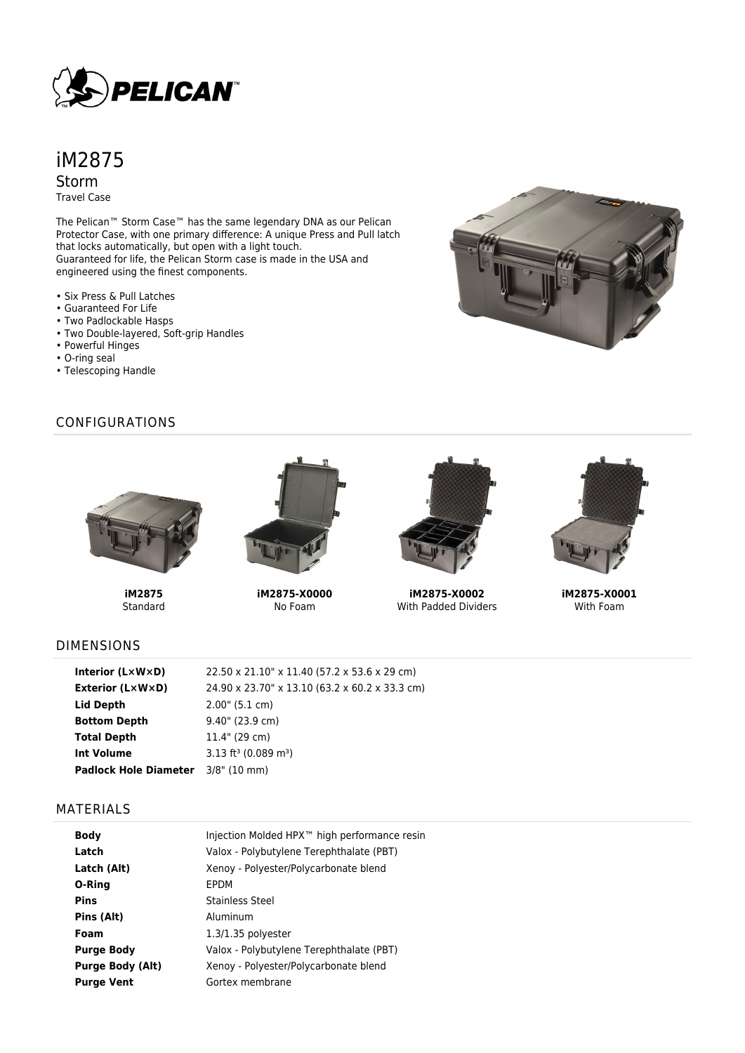

# iM2875 Storm Travel Case

The Pelican™ Storm Case™ has the same legendary DNA as our Pelican Protector Case, with one primary difference: A unique Press and Pull latch that locks automatically, but open with a light touch. Guaranteed for life, the Pelican Storm case is made in the USA and engineered using the finest components.

- Six Press & Pull Latches
- Guaranteed For Life
- Two Padlockable Hasps
- Two Double-layered, Soft-grip Handles
- Powerful Hinges
- O-ring seal
- Telescoping Handle

### CONFIGURATIONS



**iM2875-X0000** No Foam



**iM2875-X0002** With Padded Dividers



**iM2875-X0001** With Foam

## DIMENSIONS

**iM2875** Standard

| Interior $(L \times W \times D)$   | 22.50 x 21.10" x 11.40 (57.2 x 53.6 x 29 cm)   |
|------------------------------------|------------------------------------------------|
| <b>Exterior (L×W×D)</b>            | 24.90 x 23.70" x 13.10 (63.2 x 60.2 x 33.3 cm) |
| Lid Depth                          | $2.00$ " (5.1 cm)                              |
| <b>Bottom Depth</b>                | 9.40" (23.9 cm)                                |
| <b>Total Depth</b>                 | 11.4" (29 cm)                                  |
| <b>Int Volume</b>                  | $3.13$ ft <sup>3</sup> (0.089 m <sup>3</sup> ) |
| Padlock Hole Diameter 3/8" (10 mm) |                                                |

#### MATERIALS

| <b>Body</b>             | Injection Molded HPX™ high performance resin |
|-------------------------|----------------------------------------------|
| Latch                   | Valox - Polybutylene Terephthalate (PBT)     |
| Latch (Alt)             | Xenoy - Polyester/Polycarbonate blend        |
| O-Ring                  | EPDM                                         |
| <b>Pins</b>             | <b>Stainless Steel</b>                       |
| Pins (Alt)              | Aluminum                                     |
| Foam                    | $1.3/1.35$ polyester                         |
| <b>Purge Body</b>       | Valox - Polybutylene Terephthalate (PBT)     |
| <b>Purge Body (Alt)</b> | Xenoy - Polyester/Polycarbonate blend        |
| <b>Purge Vent</b>       | Gortex membrane                              |